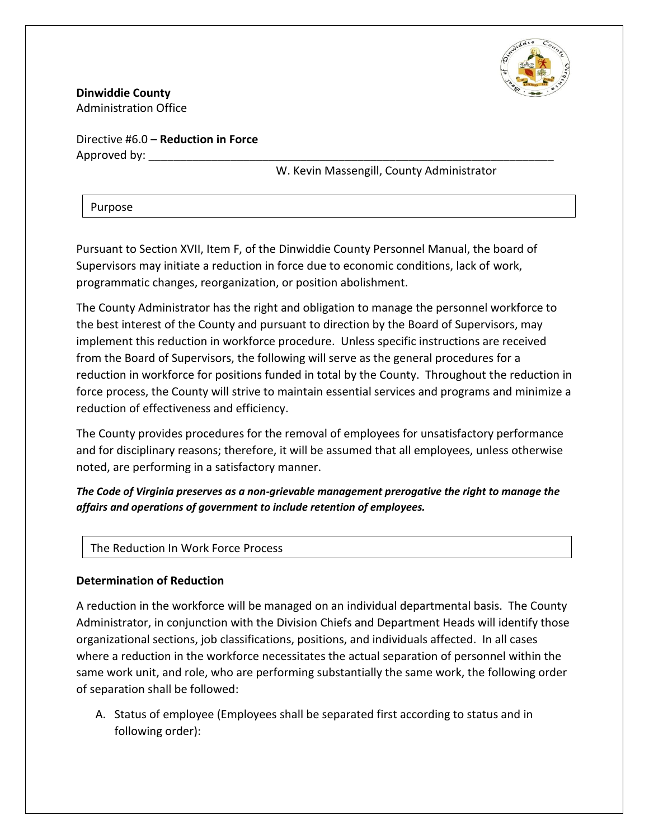

**Dinwiddie County** Administration Office

Directive #6.0 – **Reduction in Force** Approved by:

W. Kevin Massengill, County Administrator

Purpose

Pursuant to Section XVII, Item F, of the Dinwiddie County Personnel Manual, the board of Supervisors may initiate a reduction in force due to economic conditions, lack of work, programmatic changes, reorganization, or position abolishment.

The County Administrator has the right and obligation to manage the personnel workforce to the best interest of the County and pursuant to direction by the Board of Supervisors, may implement this reduction in workforce procedure. Unless specific instructions are received from the Board of Supervisors, the following will serve as the general procedures for a reduction in workforce for positions funded in total by the County. Throughout the reduction in force process, the County will strive to maintain essential services and programs and minimize a reduction of effectiveness and efficiency.

The County provides procedures for the removal of employees for unsatisfactory performance and for disciplinary reasons; therefore, it will be assumed that all employees, unless otherwise noted, are performing in a satisfactory manner.

*The Code of Virginia preserves as a non-grievable management prerogative the right to manage the affairs and operations of government to include retention of employees.*

The Reduction In Work Force Process

## **Determination of Reduction**

A reduction in the workforce will be managed on an individual departmental basis. The County Administrator, in conjunction with the Division Chiefs and Department Heads will identify those organizational sections, job classifications, positions, and individuals affected. In all cases where a reduction in the workforce necessitates the actual separation of personnel within the same work unit, and role, who are performing substantially the same work, the following order of separation shall be followed:

A. Status of employee (Employees shall be separated first according to status and in following order):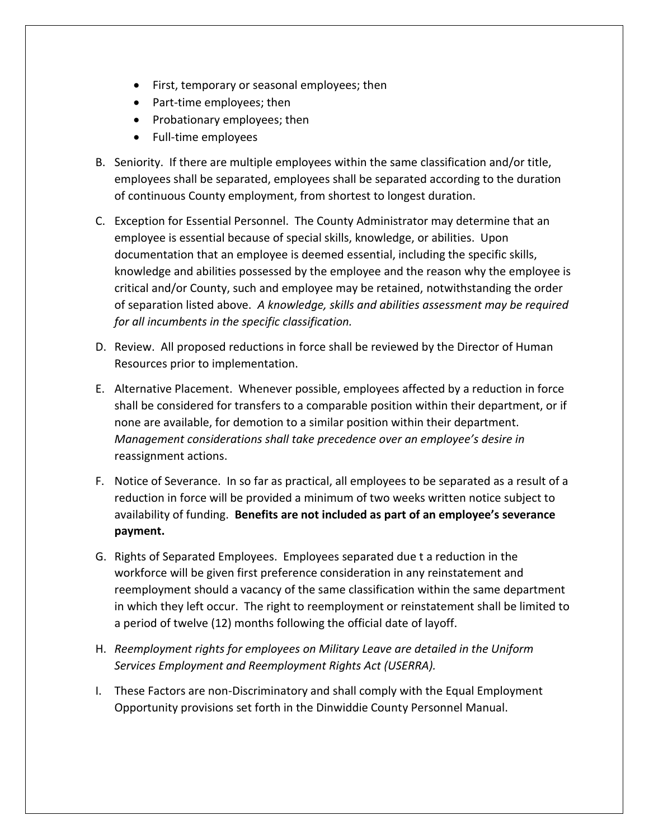- First, temporary or seasonal employees; then
- Part-time employees; then
- Probationary employees; then
- Full-time employees
- B. Seniority. If there are multiple employees within the same classification and/or title, employees shall be separated, employees shall be separated according to the duration of continuous County employment, from shortest to longest duration.
- C. Exception for Essential Personnel. The County Administrator may determine that an employee is essential because of special skills, knowledge, or abilities. Upon documentation that an employee is deemed essential, including the specific skills, knowledge and abilities possessed by the employee and the reason why the employee is critical and/or County, such and employee may be retained, notwithstanding the order of separation listed above. *A knowledge, skills and abilities assessment may be required for all incumbents in the specific classification.*
- D. Review. All proposed reductions in force shall be reviewed by the Director of Human Resources prior to implementation.
- E. Alternative Placement. Whenever possible, employees affected by a reduction in force shall be considered for transfers to a comparable position within their department, or if none are available, for demotion to a similar position within their department. *Management considerations shall take precedence over an employee's desire in*  reassignment actions.
- F. Notice of Severance. In so far as practical, all employees to be separated as a result of a reduction in force will be provided a minimum of two weeks written notice subject to availability of funding. **Benefits are not included as part of an employee's severance payment.**
- G. Rights of Separated Employees. Employees separated due t a reduction in the workforce will be given first preference consideration in any reinstatement and reemployment should a vacancy of the same classification within the same department in which they left occur. The right to reemployment or reinstatement shall be limited to a period of twelve (12) months following the official date of layoff.
- H. *Reemployment rights for employees on Military Leave are detailed in the Uniform Services Employment and Reemployment Rights Act (USERRA).*
- I. These Factors are non-Discriminatory and shall comply with the Equal Employment Opportunity provisions set forth in the Dinwiddie County Personnel Manual.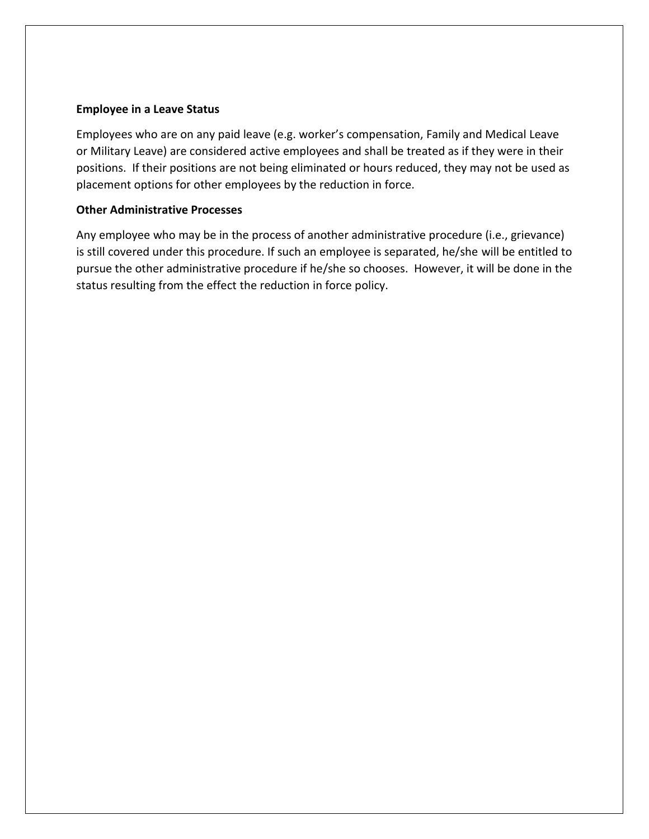## **Employee in a Leave Status**

Employees who are on any paid leave (e.g. worker's compensation, Family and Medical Leave or Military Leave) are considered active employees and shall be treated as if they were in their positions. If their positions are not being eliminated or hours reduced, they may not be used as placement options for other employees by the reduction in force.

## **Other Administrative Processes**

Any employee who may be in the process of another administrative procedure (i.e., grievance) is still covered under this procedure. If such an employee is separated, he/she will be entitled to pursue the other administrative procedure if he/she so chooses. However, it will be done in the status resulting from the effect the reduction in force policy.